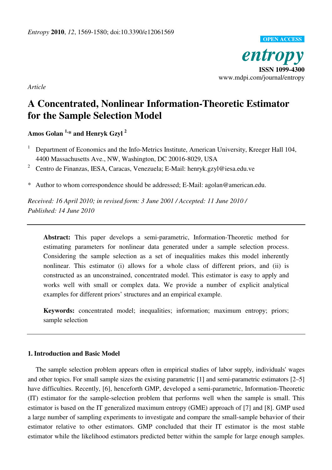

*Article* 

# **A Concentrated, Nonlinear Information-Theoretic Estimator for the Sample Selection Model**

**Amos Golan 1,\* and Henryk Gzyl <sup>2</sup>**

- <sup>1</sup> Department of Economics and the Info-Metrics Institute, American University, Kreeger Hall 104, 4400 Massachusetts Ave., NW, Washington, DC 20016-8029, USA
- <sup>2</sup> Centro de Finanzas, IESA, Caracas, Venezuela; E-Mail: henryk.gzyl@iesa.edu.ve

\* Author to whom correspondence should be addressed; E-Mail: agolan@american.edu.

*Received: 16 April 2010; in revised form: 3 June 2001 / Accepted: 11 June 2010 / Published: 14 June 2010* 

**Abstract:** This paper develops a semi-parametric, Information-Theoretic method for estimating parameters for nonlinear data generated under a sample selection process. Considering the sample selection as a set of inequalities makes this model inherently nonlinear. This estimator (i) allows for a whole class of different priors, and (ii) is constructed as an unconstrained, concentrated model. This estimator is easy to apply and works well with small or complex data. We provide a number of explicit analytical examples for different priors' structures and an empirical example.

**Keywords:** concentrated model; inequalities; information; maximum entropy; priors; sample selection

## **1. Introduction and Basic Model**

The sample selection problem appears often in empirical studies of labor supply, individuals' wages and other topics. For small sample sizes the existing parametric [1] and semi-parametric estimators [2–5] have difficulties. Recently, [6], henceforth GMP, developed a semi-parametric, Information-Theoretic (IT) estimator for the sample-selection problem that performs well when the sample is small. This estimator is based on the IT generalized maximum entropy (GME) approach of [7] and [8]. GMP used a large number of sampling experiments to investigate and compare the small-sample behavior of their estimator relative to other estimators. GMP concluded that their IT estimator is the most stable estimator while the likelihood estimators predicted better within the sample for large enough samples.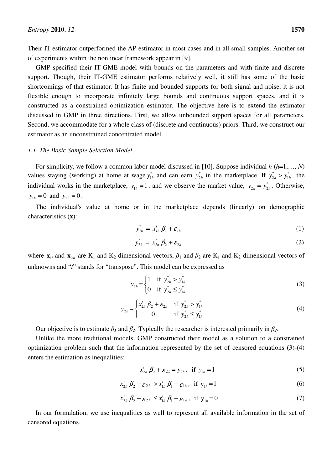Their IT estimator outperformed the AP estimator in most cases and in all small samples. Another set of experiments within the nonlinear framework appear in [9].

GMP specified their IT-GME model with bounds on the parameters and with finite and discrete support. Though, their IT-GME estimator performs relatively well, it still has some of the basic shortcomings of that estimator. It has finite and bounded supports for both signal and noise, it is not flexible enough to incorporate infinitely large bounds and continuous support spaces, and it is constructed as a constrained optimization estimator. The objective here is to extend the estimator discussed in GMP in three directions. First, we allow unbounded support spaces for all parameters. Second, we accommodate for a whole class of (discrete and continuous) priors. Third, we construct our estimator as an unconstrained concentrated model.

#### *1.1. The Basic Sample Selection Model*

For simplicity, we follow a common labor model discussed in [10]. Suppose individual *h* (*h*=1,…, *N*) values staying (working) at home at wage  $y_{1h}^*$  and can earn  $y_{2h}^*$  in the marketplace. If  $y_{2h}^* > y_{1h}^*$ , the individual works in the marketplace,  $y_{1h} = 1$ , and we observe the market value,  $y_{2h} = y_{2h}^*$ . Otherwise,  $y_{1h} = 0$  and  $y_{2h} = 0$ .

The individual's value at home or in the marketplace depends (linearly) on demographic characteristics (**x**):

$$
y_{1h}^* = x_{1h}^t \beta_l + \varepsilon_{1h} \tag{1}
$$

$$
y_{2h}^* = x_{2h}^t \beta_2 + \varepsilon_{2h}
$$
 (2)

where  $\mathbf{x}_{1h}$  and  $\mathbf{x}_{2h}$  are K<sub>1</sub> and K<sub>2</sub>-dimensional vectors,  $\beta_1$  and  $\beta_2$  are K<sub>1</sub> and K<sub>2</sub>-dimensional vectors of unknowns and "*t*" stands for "transpose". This model can be expressed as

$$
y_{1h} = \begin{cases} 1 & \text{if } y_{2h}^* > y_{1h}^* \\ 0 & \text{if } y_{2h}^* \le y_{1h}^* \end{cases}
$$
 (3)

$$
y_{2h} = \begin{cases} x_{2h}^t \beta_2 + \varepsilon_{2h} & \text{if } y_{2h}^* > y_{1h}^* \\ 0 & \text{if } y_{2h}^* \le y_{1h}^* \end{cases}
$$
 (4)

Our objective is to estimate  $\beta_I$  and  $\beta_2$ . Typically the researcher is interested primarily in  $\beta_2$ .

Unlike the more traditional models, GMP constructed their model as a solution to a constrained optimization problem such that the information represented by the set of censored equations (3)-(4) enters the estimation as inequalities:

$$
x_{2h}^t \beta_2 + \varepsilon_{2h} = y_{2h}, \text{ if } y_{1h} = 1
$$
 (5)

$$
x_{2h}^t \beta_2 + \varepsilon_{2h} > x_{1h}^t \beta_1 + \varepsilon_{1h}, \text{ if } y_{1h} = 1
$$
 (6)

$$
x_{2h}^t \beta_2 + \varepsilon_{2h} \le x_{1h}^t \beta_1 + \varepsilon_{1h}, \text{ if } y_{1h} = 0 \tag{7}
$$

In our formulation, we use inequalities as well to represent all available information in the set of censored equations.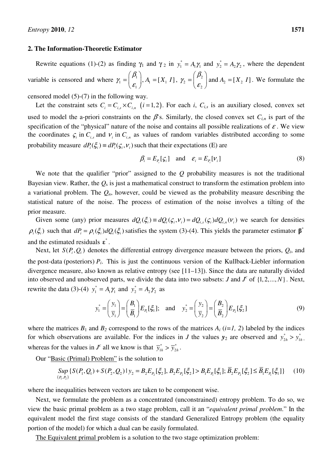### **2. The Information-Theoretic Estimator**

Rewrite equations (1)-(2) as finding  $\gamma_1$  and  $\gamma_2$  in  $y_1^* = A_1 \gamma_1$  and  $y_2^* = A_2 \gamma_2$ , where the dependent variable is censored and where  $\gamma_1 = \begin{bmatrix} P_1 \\ P_2 \end{bmatrix}$ ,  $A_1 = [X_1]$ 1  $, A_{i} = [X_{i}]$  $\beta_{\text{\tiny{l}}}$  $\gamma_1 = \begin{array}{c} E_1 \end{array}$  $(\beta_1)$  $=\left(\frac{\mu_1}{\varepsilon_1}\right), A_1 = [X_1 \ I], \ \gamma_2 = \left(\frac{\mu_2}{\varepsilon_2}\right)$  $2 - \frac{1}{2}$   $\frac{1}{2} - \frac{1}{2}$ 2 and  $A_2 = [X_2 \ I]$  $\beta$  $\gamma_2 = \begin{array}{c} E \end{array}$  $(\beta, )$  $=\begin{pmatrix} r_2 \ \epsilon_2 \end{pmatrix}$  and  $A_2 = [X_2 \ I]$ . We formulate the

censored model (5)-(7) in the following way.

Let the constraint sets  $C_i = C_{i,s} \times C_{i,n}$  (*i* = 1, 2). For each *i*,  $C_{i,s}$  is an auxiliary closed, convex set used to model the a-priori constraints on the  $\beta$ 's. Similarly, the closed convex set  $C_{i,n}$  is part of the specification of the "physical" nature of the noise and contains all possible realizations of  $\varepsilon$ . We view the coordinates  $\zeta_i$  in  $C_{i,s}$  and  $V_i$  in  $C_{i,n}$  as values of random variables distributed according to some probability measure  $dP_i(\xi_i) \equiv dP_i(\zeta_i, v_i)$  such that their expectations (E) are

$$
\beta_i = E_{P_i}[\mathcal{G}_i] \quad \text{and} \quad \mathcal{E}_i = E_{P_i}[\mathcal{V}_i] \tag{8}
$$

We note that the qualifier "prior" assigned to the *Q* probability measures is not the traditional Bayesian view. Rather, the  $Q<sub>s</sub>$  is just a mathematical construct to transform the estimation problem into a variational problem. The  $Q_n$ , however, could be viewed as the probability measure describing the statistical nature of the noise. The process of estimation of the noise involves a tilting of the prior measure.

Given some (any) prior measures  $dQ_i(\xi_i) \equiv dQ_i(\xi_i, v_i) = dQ_{i,s}(\xi_i) dQ_{i,n}(v_i)$  we search for densities  $\rho_i(\xi_i)$  such that  $dP_i = \rho_i(\xi_i) dQ_i(\xi_i)$  satisfies the system (3)-(4). This yields the parameter estimator  $\beta^*$ and the estimated residuals  $\boldsymbol{\varepsilon}^*$ .

Next, let  $S(P_i, Q_i)$  denotes the differential entropy divergence measure between the priors,  $Q_i$ , and the post-data (posteriors)  $P_i$ . This is just the continuous version of the Kullback-Liebler information divergence measure, also known as relative entropy (see [11–13]). Since the data are naturally divided into observed and unobserved parts, we divide the data into two subsets: *J* and  $J^c$  of  $\{1, 2, ..., N\}$ . Next, rewrite the data (3)-(4)  $y_1^* = A_1 \gamma_1$  and  $y_2^* = A_2 \gamma_2$  as

$$
y_1^* = \left(\frac{y_1}{y_1}\right) = \left(\frac{B_1}{B_1}\right) E_{P_1}[\xi_1]; \text{ and } y_2^* = \left(\frac{y_2}{y_2}\right) = \left(\frac{B_2}{B_2}\right) E_{P_2}[\xi_2]
$$
 (9)

where the matrices  $B_1$  and  $B_2$  correspond to the rows of the matrices  $A_i$  (*i*=1, 2) labeled by the indices for which observations are available. For the indices in *J* the values  $y_2$  are observed and  $y_{2h}^* > y_{1h}^*$ , whereas for the values in  $J^c$  all we know is that  $\overline{y}_{1h}^* > \overline{y}_{2h}^*$ .

Our "Basic (Primal) Problem" is the solution to

$$
Sup \{ S(P_1, Q_1) + S(P_2, Q_2) \mid y_2 = B_2 E_{P_2}[\xi_2], B_2 E_{P_2}[\xi_2] > B_1 E_{P_1}[\xi_1]; \overline{B}_2 E_{P_2}[\xi_2] \le \overline{B}_1 E_{P_1}[\xi_1] \} \tag{10}
$$

where the inequalities between vectors are taken to be component wise.

Next, we formulate the problem as a concentrated (unconstrained) entropy problem. To do so, we view the basic primal problem as a two stage problem, call it an "*equivalent primal problem*." In the equivalent model the first stage consists of the standard Generalized Entropy problem (the equality portion of the model) for which a dual can be easily formulated.

The Equivalent primal problem is a solution to the two stage optimization problem: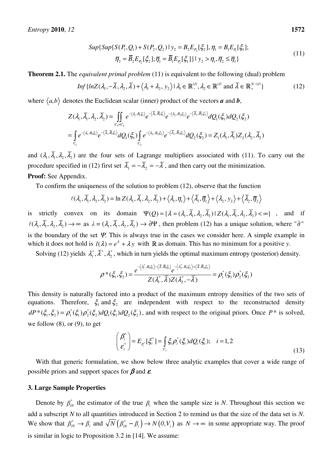$$
Sup\{Sup\{S(P_1, Q_1) + S(P_2, Q_2) | \ y_2 = B_2 E_{P_2}[\xi_2], \eta_1 = B_1 E_{P_1}[\xi_1];\right\}
$$
  

$$
\overline{\eta}_2 = \overline{B}_2 E_{P_2}[\xi_2]; \overline{\eta}_1 = \overline{B}_1 E_{P_1}[\xi_1] \} | \ y_2 > \eta_1, \overline{\eta}_2 \le \overline{\eta}_1 \}
$$
(11)

**Theorem 2.1.** The *equivalent primal problem* (11) is equivalent to the following (dual) problem

$$
Inf\{lnZ(\lambda_1, -\overline{\lambda}, \lambda_2, \overline{\lambda}) + \langle \lambda_1 + \lambda_2, y_2 \rangle \mid \lambda_1 \in \mathbb{R}^{U_1}, \lambda_2 \in \mathbb{R}^{U_1} \text{ and } \overline{\lambda} \in \mathbb{R}^{N-|J|}_{+} \}
$$
(12)

where  $\langle a,b \rangle$  denotes the Euclidean scalar (inner) product of the vectors *a* and *b*,

$$
Z(\lambda_1, \overline{\lambda}_1, \lambda_2, \overline{\lambda}_2) = \iint_{C_1 \times C_2} e^{-\langle \lambda_1, B_1 \xi_1 \rangle} e^{-\langle \overline{\lambda}_1, \overline{B}_1 \xi_1 \rangle} e^{-\langle \overline{\lambda}_2, B_2 \xi_2 \rangle} e^{-\langle \overline{\lambda}_2, \overline{B}_2 \xi_2 \rangle} dQ_1(\xi_1) dQ_2(\xi_2)
$$
  
= 
$$
\int_{C_1} e^{-\langle \lambda_1, B_1 \xi_1 \rangle} e^{-\langle \overline{\lambda}_1, \overline{B}_1 \xi_1 \rangle} dQ_1(\xi_1) \int_{C_2} e^{-\langle \lambda_2, B_2 \xi_2 \rangle} e^{-\langle \overline{\lambda}_2, \overline{B}_2 \xi_2 \rangle} dQ_2(\xi_2) = Z_1(\lambda_1, \overline{\lambda}_1) Z_2(\lambda_2, \overline{\lambda}_2)
$$

and  $(\lambda_1, \overline{\lambda}_1, \lambda_2, \overline{\lambda}_2)$  are the four sets of Lagrange multipliers associated with (11). To carry out the procedure specified in (12) first set  $\overline{\lambda}_1 = -\overline{\lambda}_2 = -\overline{\lambda}$ , and then carry out the minimization. **Proof:** See Appendix.

To confirm the uniqueness of the solution to problem (12), observe that the function

$$
\ell(\lambda_1, \overline{\lambda}_1, \lambda_2, \overline{\lambda}_2) = \ln Z(\lambda_1, \overline{\lambda}_1, \lambda_2, \overline{\lambda}_2) + \langle \lambda_1, \eta_1 \rangle + \langle \overline{\lambda}_1, \overline{\eta}_1 \rangle + \langle \lambda_2, y_2 \rangle + \langle \overline{\lambda}_2, \overline{\eta}_2 \rangle
$$

is strictly convex on its domain  $\Psi(Q) = {\lambda = (\lambda_1, \overline{\lambda}_1, \lambda_2, \overline{\lambda}_2) | Z(\lambda_1, \overline{\lambda}_1, \lambda_2, \overline{\lambda}_2) < \infty}$ , and if  $\ell(\lambda_1, \overline{\lambda}_1, \lambda_2, \overline{\lambda}_2) \to \infty$  as  $\lambda = (\lambda_1, \overline{\lambda}_1, \lambda_2, \overline{\lambda}_2) \to \partial \Psi$ , then problem (12) has a unique solution, where " $\partial$ " is the boundary of the set  $\Psi$ . This is always true in the cases we consider here. A simple example in which it does not hold is  $l(\lambda) = e^{\lambda} + \lambda y$  with R as domain. This has no minimum for a positive *y*.

Solving (12) yields  $\lambda_1^*, \overline{\lambda}^*, \lambda_2^*$ , which in turn yields the optimal maximum entropy (posterior) density.

$$
\rho^*(\xi_1,\xi_2) = \frac{e^{-\langle \lambda_1^*,B_1\xi_1\rangle - \langle \overline{\lambda},\overline{B}_1\xi_1\rangle}e^{-\langle \lambda_2^*,B_2\xi_2\rangle + \langle \overline{\lambda},\overline{B}_2\xi_2\rangle}}{Z(\lambda_1^*,\overline{\lambda})Z(\lambda_2^*,-\overline{\lambda})} = \rho_1^*(\xi_1)\rho_2^*(\xi_2)
$$

This density is naturally factored into a product of the maximum entropy densities of the two sets of equations. Therefore,  $\xi_1$  and  $\xi_2$  are independent with respect to the reconstructed density  $dP^*(\xi_1, \xi_2) = \rho_1^*(\xi_1)\rho_2^*(\xi_2)dQ_1(\xi_1)dQ_2(\xi_2)$ , and with respect to the original priors. Once  $P^*$  is solved, we follow  $(8)$ , or  $(9)$ , to get

$$
\begin{pmatrix} \beta_i^* \\ \varepsilon_i^* \end{pmatrix} = E_{P_i^*}[\xi_i^*] = \int_{C_i} \xi_i \rho_i^*(\xi_i) dQ_i(\xi_i); \quad i = 1, 2
$$
\n(13)

With that generic formulation, we show below three analytic examples that cover a wide range of possible priors and support spaces for  $\beta$  and  $\varepsilon$ .

#### **3. Large Sample Properties**

Denote by  $\beta_{iN}^*$  the estimator of the true  $\beta_i$  when the sample size is *N*. Throughout this section we add a subscript *N* to all quantities introduced in Section 2 to remind us that the size of the data set is *N*. We show that  $\beta_{iN}^* \to \beta_i$  and  $\sqrt{N} (\beta_{iN}^* - \beta_i) \to N(0, V_i)$  as  $N \to \infty$  in some appropriate way. The proof is similar in logic to Proposition 3.2 in [14]. We assume: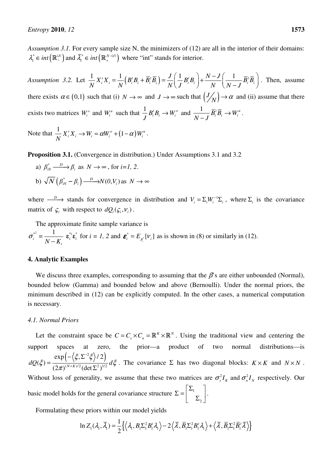*Assumption 3.1.* For every sample size N, the minimizers of (12) are all in the interior of their domains:  $\lambda_1^* \in int \left( \mathbb{R}^{|J|}_+ \right)$  and  $\overline{\lambda}_1^* \in int \left( \mathbb{R}^{|N-|J|}_+ \right)$  where "int" stands for interior.

*Assumption 3.2.* Let  $\frac{1}{N} X_i^t X_i = \frac{1}{N} \left( B_i^t B_i + \overline{B}_i^t \overline{B}_i \right) = \frac{J}{N} \left( \frac{1}{I} B_i^t B_i \right) + \frac{N - J}{N} \left( \frac{1}{N - I} \overline{B}_i^t \overline{B}_i \right)$  $N$ <sup>*I*</sup> *N*<sup> $\langle$ *I I I*<sub> *I*</sub> *I*<sub></sub> *I*</sup> *N* $\langle$ *J N*  $\langle N-J \rangle$  $\begin{pmatrix} 1 & p \ p \end{pmatrix}$ ,  $N-J \begin{pmatrix} 1 & \overline{p}t\overline{p} \end{pmatrix}$  $=\frac{1}{N}\left(B_i^tB_i+B_i^tB_i\right)=\frac{1}{N}\left(\frac{1}{J}B_i^tB_i\right)+\frac{1}{N}\left(\frac{1}{N-J}B_i^tB_i\right)$ . Then, assume there exists  $\alpha \in (0,1)$  such that (i)  $N \to \infty$  and  $J \to \infty$  such that  $\left(\frac{J}{N}\right)$ .  $\binom{N}{N}$   $\rightarrow \alpha$  and (ii) assume that there exists two matrices  $W_i^o$  and  $W_i^u$  such that  $\frac{1}{J}B_i^tB_i \to W_i^o$  and  $\frac{1}{N-J}\overline{B}_i^t\overline{B}_i \to W_i^u$ − . Note that  $\frac{1}{N} X_i^t X_i \rightarrow W_i = \alpha W_i^o + (1 - \alpha) W_i^u$ .

**Proposition 3.1.** (Convergence in distribution.) Under Assumptions 3.1 and 3.2

a)  $\beta_{iN}^* \xrightarrow{D} \beta_i$  as  $N \to \infty$ , for *i*=1, 2. b)  $\sqrt{N} (\beta_{iN}^* - \beta_i) \xrightarrow{D} N(0, V_i)$  as  $N \to \infty$ 

where  $\frac{D}{\longrightarrow}$  stands for convergence in distribution and  $V_i = \sum_i W_i^{-1} \sum_i$ , where  $\Sigma_i$  is the covariance matrix of  $\zeta_i$  with respect to  $dQ_i(\zeta_i, v_i)$ .

The approximate finite sample variance is

$$
\sigma_i^{*^2} = \frac{1}{N - K_i} \mathbf{\varepsilon}_i^{*t} \mathbf{\varepsilon}_i^{*} \text{ for } i = 1, 2 \text{ and } \mathbf{\varepsilon}_i^{*} = E_{P_i^{*}}[V_i] \text{ as is shown in (8) or similarly in (12).}
$$

#### **4. Analytic Examples**

We discuss three examples, corresponding to assuming that the  $\beta$ 's are either unbounded (Normal), bounded below (Gamma) and bounded below and above (Bernoulli). Under the normal priors, the minimum described in (12) can be explicitly computed. In the other cases, a numerical computation is necessary.

### *4.1. Normal Priors*

Let the constraint space be  $C = C_s \times C_n = \mathbb{R}^K \times \mathbb{R}^N$ . Using the traditional view and centering the support spaces at zero, the prior—a product of two normal distributions—is  $\left(-\left\langle \xi,\Sigma^{-2}\xi\right\rangle/2\right).$  $(N+K)/2$  (dot  $\nabla^2\lambda^{1/2}$  $\exp\left(-\langle \xi, \Sigma^{-2}\xi \rangle/2\right)$  $dQ(\xi) = \frac{1}{(2\pi)^{(N+K)/2} (\det \Sigma^2)^{1/2}} d$ ξ $, Σ^{-2}ξ$  $\zeta(\xi) = \frac{1}{(2\pi)^{(N+K)/2} (\det \Sigma^2)^{1/2}} d\xi$ − +  $-\langle \xi,\Sigma$ = Σ . The covariance  $\Sigma$  has two diagonal blocks:  $K \times K$  and  $N \times N$ . Without loss of generality, we assume that these two matrices are  $\sigma_s^2 I_k$  and  $\sigma_n^2 I_k$  respectively. Our basic model holds for the general covariance structure  $\Sigma = \begin{bmatrix} \Sigma_1 & \Sigma_2 & \cdots & \Sigma_n \end{bmatrix}$ 2  $\Sigma = \begin{bmatrix} 1 & 1 \\ 1 & 2 \end{bmatrix}$ .

Formulating these priors within our model yields

$$
\ln Z_1(\lambda_1, \overline{\lambda}_1) = \frac{1}{2} \Big\{ \Big\langle \lambda_1, B_1 \Sigma_1^2 B_1' \lambda_1 \Big\rangle - 2 \Big\langle \overline{\lambda}, \overline{B}_1 \Sigma_1^2 B_1' \lambda_1 \Big\rangle + \Big\langle \overline{\lambda}, \overline{B}_1 \Sigma_1^2 \overline{B}_1' \overline{\lambda} \Big\rangle \Big\}
$$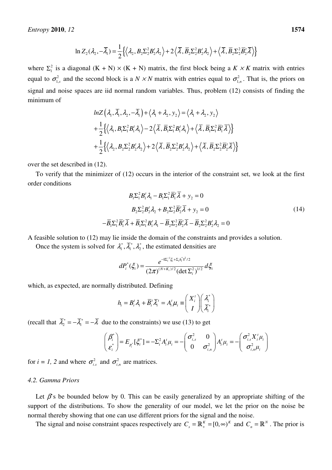$$
\ln Z_2(\lambda_2, -\overline{\lambda}_1) = \frac{1}{2} \left\{ \left\langle \lambda_2, B_2 \Sigma_2^2 B_2^t \lambda_2 \right\rangle + 2 \left\langle \overline{\lambda}, \overline{B}_2 \Sigma_2^2 B_2^t \lambda_2 \right\rangle + \left\langle \overline{\lambda}, \overline{B}_2 \Sigma_2^2 \overline{B}_2^t \overline{\lambda} \right\rangle \right\}
$$

where  $\Sigma_1^2$  is a diagonal  $(K + N) \times (K + N)$  matrix, the first block being a  $K \times K$  matrix with entries equal to  $\sigma_{1,s}^2$  and the second block is a *N × N* matrix with entries equal to  $\sigma_{1,n}^2$ . That is, the priors on signal and noise spaces are iid normal random variables. Thus, problem (12) consists of finding the minimum of

$$
ln Z\left(\lambda_{1}, \overline{\lambda}_{1}, \lambda_{2}, -\overline{\lambda}_{1}\right) + \left\langle \lambda_{1} + \lambda_{2}, y_{2} \right\rangle = \left\langle \lambda_{1} + \lambda_{2}, y_{2} \right\rangle
$$
  
+  $\frac{1}{2} \left\{ \left\langle \lambda_{1}, B_{1} \Sigma_{1}^{2} B_{1}^{\prime} \lambda_{1} \right\rangle - 2 \left\langle \overline{\lambda}, \overline{B}_{1} \Sigma_{1}^{2} B_{1}^{\prime} \lambda_{1} \right\rangle + \left\langle \overline{\lambda}, \overline{B}_{1} \Sigma_{1}^{2} \overline{B}_{1}^{\prime} \overline{\lambda} \right\rangle \right\}$   
+  $\frac{1}{2} \left\{ \left\langle \lambda_{2}, B_{2} \Sigma_{2}^{2} B_{2}^{\prime} \lambda_{2} \right\rangle + 2 \left\langle \overline{\lambda}, \overline{B}_{2} \Sigma_{2}^{2} B_{2}^{\prime} \lambda_{2} \right\rangle + \left\langle \overline{\lambda}, \overline{B}_{2} \Sigma_{2}^{2} \overline{B}_{2}^{\prime} \overline{\lambda} \right\rangle \right\}$ 

over the set described in (12).

To verify that the minimizer of (12) occurs in the interior of the constraint set, we look at the first order conditions

$$
B_1 \Sigma_1^2 B_1^i \lambda_1 - B_1 \Sigma_1^2 \overline{B}_1^i \overline{\lambda} + y_2 = 0
$$
  
\n
$$
B_2 \Sigma_2^2 B_2^i \lambda_2 + B_2 \Sigma_2^2 \overline{B}_2^i \overline{\lambda} + y_2 = 0
$$
  
\n
$$
-\overline{B}_1 \Sigma_1^2 \overline{B}_1^i \overline{\lambda} + \overline{B}_1 \Sigma_1^2 B_1^i \lambda_1 - \overline{B}_2 \Sigma_2^2 \overline{B}_2^i \overline{\lambda} - \overline{B}_2 \Sigma_2^2 B_2^i \lambda_2 = 0
$$
\n(14)

A feasible solution to (12) may lie inside the domain of the constraints and provides a solution.

Once the system is solved for  $\lambda_1^*, \overline{\lambda}_1^*, \lambda_2^*$ , the estimated densities are

$$
dP_i^*(\xi_i) = \frac{e^{-\|\Sigma_i^{-1}\xi_i + \Sigma_i h_i^*\|^2/2}}{(2\pi)^{(N+K_i)/2} (\det \Sigma_i^2)^{1/2}} d\xi_i
$$

which, as expected, are normally distributed. Defining

$$
h_i = B_i^t \lambda_i + \overline{B}_i^t \overline{\lambda}_i^t = A_i^t \mu_i \equiv \begin{pmatrix} X_i^t \\ I \end{pmatrix} \begin{pmatrix} \lambda_i^* \\ \overline{\lambda}_i^* \end{pmatrix}
$$

(recall that  $\overline{\lambda}_2^* = -\overline{\lambda}_1^* = -\overline{\lambda}$  due to the constraints) we use (13) to get

$$
\begin{pmatrix} \beta_i^* \\ \varepsilon_i^* \end{pmatrix} = E_{P_i^*}[\xi_i^*] = -\Sigma_i^2 A_i^t \mu_i = -\begin{pmatrix} \sigma_{i,s}^2 & 0 \\ 0 & \sigma_{i,n}^2 \end{pmatrix} A_i^t \mu_i = -\begin{pmatrix} \sigma_{i,s}^2 X_i^t \mu_i \\ \sigma_{i,n}^2 \mu_i \end{pmatrix}
$$

for  $i = 1$ , 2 and where  $\sigma_{i,s}^2$  and  $\sigma_{i,n}^2$  are matrices.

#### *4.2. Gamma Priors*

Let  $\beta$ 's be bounded below by 0. This can be easily generalized by an appropriate shifting of the support of the distributions. To show the generality of our model, we let the prior on the noise be normal thereby showing that one can use different priors for the signal and the noise.

The signal and noise constraint spaces respectively are  $C_s = \mathbb{R}_+^K = [0, \infty)^K$  and  $C_n = \mathbb{R}^N$ . The prior is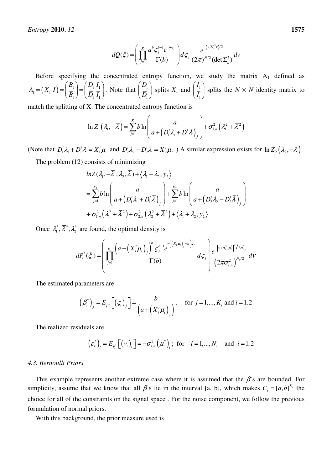$$
dQ(\xi) = \left(\prod_{j=1}^K \frac{a^b \zeta_j^{b-1} e^{-a\zeta_j}}{\Gamma(b)}\right) d\zeta_j \frac{e^{-\left\langle v, \Sigma_n^{-2} v\right\rangle/2}}{(2\pi)^{N/2} (\det \Sigma_n^2)} dv
$$

Before specifying the concentrated entropy function, we study the matrix  $A_1$  defined as  $\mu_1 = (X_1 I) = \frac{D_1}{R} = \frac{D_1 I_1}{R I}$  $1 / \sqrt{P_1 I_1}$  $B_1$   $D_1$  *I*  $A_{1} = (X_{1} I)$  $B_1$   $\bigcup$   $D_1$  *I*  $(B_1)$   $(D_1 I_1)$  $=(X_1 I) = \left(\frac{B_1}{\overline{B}_1}\right) = \left(\frac{B_1 I_1}{\overline{D}_1 I_1}\right)$ . Note that  $\left(\frac{B_1}{\overline{D}_1}\right)$ 1 *D*  $\begin{pmatrix} D_1 \\ \bar{D}_1 \end{pmatrix}$  splits  $X_1$  and  $\begin{pmatrix} I_1 \\ \bar{I}_1 \end{pmatrix}$ 1 *I*  $\left(\frac{I_1}{I_1}\right)$ splits the  $N \times N$  identity matrix to

match the splitting of X. The concentrated entropy function is

$$
\ln Z_1\left(\lambda_1,-\overline{\lambda}\right)=\sum_{j=1}^K b \ln \left(\frac{a}{a+\left(D_1'\lambda_1+\overline{D_1'}\overline{\lambda}\right)_j}\right)+\sigma_{1,n}^2\left(\lambda_1^2+\overline{\lambda}^2\right)
$$

(Note that  $D_1^t \lambda_1 + \overline{D}_1^t \overline{\lambda} = X_1^t \mu_1$  and  $D_2^t \lambda_2 - \overline{D}_2^t \overline{\lambda} = X_2^t \mu_2$ .) A similar expression exists for  $\ln Z_2(\lambda_2, -\overline{\lambda})$ .

The problem (12) consists of minimizing

$$
ln Z(\lambda_1, -\lambda, \lambda_2, \lambda) + \langle \lambda_1 + \lambda_2, y_2 \rangle
$$
  
=  $\sum_{j=1}^{K_1} b ln \left( \frac{a}{a + (D'_1 \lambda_1 + \overline{D'_1} \overline{\lambda})_j} \right) + \sum_{j=1}^{K_2} b ln \left( \frac{a}{a + (D'_2 \lambda_2 - \overline{D'_2} \overline{\lambda})_j} \right)$   
+  $\sigma_{1,n}^2 (\lambda_1^2 + \overline{\lambda}^2) + \sigma_{2,n}^2 (\lambda_2^2 + \overline{\lambda}^2) + \langle \lambda_1 + \lambda_2, y_2 \rangle$ 

Once  $\lambda_1^*, \overline{\lambda}^*, \lambda_2^*$  are found, the optimal density is

$$
dP_i^*(\xi_i) = \left(\prod_{j=1}^{K_i} \frac{\left(a + \left(X_i^t \mu_i\right)_j\right)^b \zeta_j^{b-1} e^{-\left(\left(X_i^t \mu_i\right)_j + a\right) \zeta_j}}{\Gamma(b)} d\zeta_j \right) e^{-\left\|\nu + \sigma_{i,n}^2 \mu_i^*\right\|^2 / 2\sigma_{i,n}^2} d\nu
$$

The estimated parameters are

$$
\left(\beta_i^*\right)_j = E_{p_i^*} \left[ \left(\varsigma_i\right)_j \right] = \frac{b}{\left(a + \left(X_i^* \mu_i\right)_j\right)}; \quad \text{for } j = 1, ..., K_i \text{ and } i = 1, 2
$$

The realized residuals are

$$
(\varepsilon_i^*)_l = E_{P_i^*}[(v_i)_l] = -\sigma_{i,n}^2(\mu_i^*)_l
$$
; for  $l = 1,..., N_i$  and  $i = 1, 2$ 

#### *4.3. Bernoulli Priors*

This example represents another extreme case where it is assumed that the  $\beta$ 's are bounded. For simplicity, assume that we know that all  $\beta$ 's lie in the interval [a, b], which makes  $C_s = [a, b]^{K_i}$  the choice for all of the constraints on the signal space . For the noise component, we follow the previous formulation of normal priors.

With this background, the prior measure used is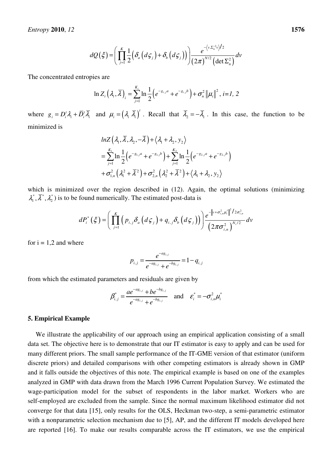$$
dQ(\xi) = \left(\prod_{j=1}^K \frac{1}{2} \left(\delta_a \left(d\zeta_j\right) + \delta_b \left(d\zeta_j\right)\right)\right) \frac{e^{-\left\langle v,\Sigma_n^{-2}v\right\rangle/2}}{\left(2\pi\right)^{N/2} \left(\det \Sigma_n^2\right)} dv
$$

The concentrated entropies are

$$
\ln Z_i\left(\lambda_i,\overline{\lambda}\right)_i = \sum_{j=1}^{K_i} \ln \frac{1}{2} \left(e^{-g_{i,j}a} + e^{-g_{i,j}b}\right) + \sigma_n^2 \left\|\mu_i\right\|^2, \ i=1, 2
$$

where  $g_i = D_i^t \lambda_i + \overline{D}_i^t \overline{\lambda}_i$  and  $\mu_i = (\lambda_i \overline{\lambda}_i)^t$ . Recall that  $\overline{\lambda}_2 = -\overline{\lambda}_1$ . In this case, the function to be minimized is

$$
ln Z\left(\lambda_{1}, \overline{\lambda}, \lambda_{2}, -\overline{\lambda}\right) + \left\langle \lambda_{1} + \lambda_{2}, y_{2} \right\rangle
$$
  
=  $\sum_{j=1}^{K_{1}} ln \frac{1}{2} \left(e^{-g_{1,j}a} + e^{-g_{1,j}b}\right) + \sum_{j=1}^{K_{2}} ln \frac{1}{2} \left(e^{-g_{2,j}a} + e^{-g_{2,j}b}\right)$   
+  $\sigma_{1,n}^{2} \left(\lambda_{1}^{2} + \overline{\lambda}^{2}\right) + \sigma_{2,n}^{2} \left(\lambda_{2}^{2} + \overline{\lambda}^{2}\right) + \left\langle \lambda_{1} + \lambda_{2}, y_{2} \right\rangle$ 

which is minimized over the region described in  $(12)$ . Again, the optimal solutions (minimizing  $\lambda_1^*, \overline{\lambda}_1^*, \lambda_2^*$ ) is to be found numerically. The estimated post-data is

$$
dP_i^*\left(\xi\right) = \left(\prod_{j=1}^K \left(p_{i,j}\delta_a\left(d\,\zeta_j\right) + q_{i,j}\delta_b\left(d\,\zeta_j\right)\right)\right) \frac{e^{-\left\|\gamma + \sigma_{i,n}^2\mu_i^*\right\|^2/2\sigma_{i,n}^2}}{\left(2\pi\sigma_{i,n}^2\right)^{N_i/2}}\,dv
$$

for  $i = 1.2$  and where

$$
p_{i,j} = \frac{e^{-a g_{i,j}}}{e^{-a g_{i,j}} + e^{-b g_{i,j}}} = 1 - q_{i,j}
$$

from which the estimated parameters and residuals are given by

$$
\beta_{i,j}^* = \frac{ae^{-a g_{i,j}} + be^{-b g_{i,j}}}{e^{-a g_{i,j}} + e^{-b g_{i,j}}}
$$
 and  $\varepsilon_i^* = -\sigma_{i,n}^2 \mu_i^*$ 

#### **5. Empirical Example**

We illustrate the applicability of our approach using an empirical application consisting of a small data set. The objective here is to demonstrate that our IT estimator is easy to apply and can be used for many different priors. The small sample performance of the IT-GME version of that estimator (uniform discrete priors) and detailed comparisons with other competing estimators is already shown in GMP and it falls outside the objectives of this note. The empirical example is based on one of the examples analyzed in GMP with data drawn from the March 1996 Current Population Survey. We estimated the wage-participation model for the subset of respondents in the labor market. Workers who are self-employed are excluded from the sample. Since the normal maximum likelihood estimator did not converge for that data [15], only results for the OLS, Heckman two-step, a semi-parametric estimator with a nonparametric selection mechanism due to [5], AP, and the different IT models developed here are reported [16]. To make our results comparable across the IT estimators, we use the empirical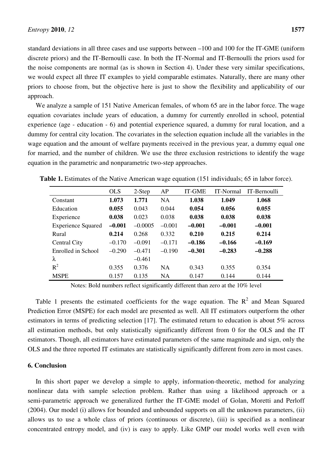standard deviations in all three cases and use supports between –100 and 100 for the IT-GME (uniform discrete priors) and the IT-Bernoulli case. In both the IT-Normal and IT-Bernoulli the priors used for the noise components are normal (as is shown in Section 4). Under these very similar specifications, we would expect all three IT examples to yield comparable estimates. Naturally, there are many other priors to choose from, but the objective here is just to show the flexibility and applicability of our approach.

We analyze a sample of 151 Native American females, of whom 65 are in the labor force. The wage equation covariates include years of education, a dummy for currently enrolled in school, potential experience (age - education - 6) and potential experience squared, a dummy for rural location, and a dummy for central city location. The covariates in the selection equation include all the variables in the wage equation and the amount of welfare payments received in the previous year, a dummy equal one for married, and the number of children. We use the three exclusion restrictions to identify the wage equation in the parametric and nonparametric two-step approaches.

|                           | <b>OLS</b> | 2-Step    | AP        | <b>IT-GME</b> | <b>IT-Normal</b> | IT-Bernoulli |
|---------------------------|------------|-----------|-----------|---------------|------------------|--------------|
| Constant                  | 1.073      | 1.771     | <b>NA</b> | 1.038         | 1.049            | 1.068        |
| Education                 | 0.055      | 0.043     | 0.044     | 0.054         | 0.056            | 0.055        |
| Experience                | 0.038      | 0.023     | 0.038     | 0.038         | 0.038            | 0.038        |
| <b>Experience Squared</b> | $-0.001$   | $-0.0005$ | $-0.001$  | $-0.001$      | $-0.001$         | $-0.001$     |
| Rural                     | 0.214      | 0.268     | 0.332     | 0.210         | 0.215            | 0.214        |
| <b>Central City</b>       | $-0.170$   | $-0.091$  | $-0.171$  | $-0.186$      | $-0.166$         | $-0.169$     |
| Enrolled in School        | $-0.290$   | $-0.471$  | $-0.190$  | $-0.301$      | $-0.283$         | $-0.288$     |
| λ                         |            | $-0.461$  |           |               |                  |              |
| $R^2$                     | 0.355      | 0.376     | <b>NA</b> | 0.343         | 0.355            | 0.354        |
| <b>MSPE</b>               | 0.157      | 0.135     | <b>NA</b> | 0.147         | 0.144            | 0.144        |

Table 1. Estimates of the Native American wage equation (151 individuals; 65 in labor force).

Notes: Bold numbers reflect significantly different than zero at the 10% level

Table 1 presents the estimated coefficients for the wage equation. The  $R^2$  and Mean Squared Prediction Error (MSPE) for each model are presented as well. All IT estimators outperform the other estimators in terms of predicting selection [17]. The estimated return to education is about 5% across all estimation methods, but only statistically significantly different from 0 for the OLS and the IT estimators. Though, all estimators have estimated parameters of the same magnitude and sign, only the OLS and the three reported IT estimates are statistically significantly different from zero in most cases.

### **6. Conclusion**

In this short paper we develop a simple to apply, information-theoretic, method for analyzing nonlinear data with sample selection problem. Rather than using a likelihood approach or a semi-parametric approach we generalized further the IT-GME model of Golan, Moretti and Perloff (2004). Our model (i) allows for bounded and unbounded supports on all the unknown parameters, (ii) allows us to use a whole class of priors (continuous or discrete), (iii) is specified as a nonlinear concentrated entropy model, and (iv) is easy to apply. Like GMP our model works well even with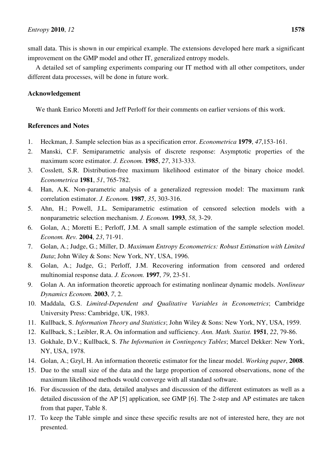small data. This is shown in our empirical example. The extensions developed here mark a significant improvement on the GMP model and other IT, generalized entropy models.

A detailed set of sampling experiments comparing our IT method with all other competitors, under different data processes, will be done in future work.

# **Acknowledgement**

We thank Enrico Moretti and Jeff Perloff for their comments on earlier versions of this work.

# **References and Notes**

- 1. Heckman, J. Sample selection bias as a specification error. *Econometrica* **1979**, *47*,153-161.
- 2. Manski, C.F. Semiparametric analysis of discrete response: Asymptotic properties of the maximum score estimator. *J. Econom.* **1985**, *27*, 313-333.
- 3. Cosslett, S.R. Distribution-free maximum likelihood estimator of the binary choice model. *Econometrica* **1981**, *51*, 765-782.
- 4. Han, A.K. Non-parametric analysis of a generalized regression model: The maximum rank correlation estimator. *J. Econom.* **1987**, *35*, 303-316.
- 5. Ahn, H.; Powell, J.L. Semiparametric estimation of censored selection models with a nonparametric selection mechanism. *J. Econom.* **1993**, *58*, 3-29.
- 6. Golan, A.; Moretti E.; Perloff, J.M. A small sample estimation of the sample selection model. *Econom. Rev.* **2004**, *23*, 71-91.
- 7. Golan, A.; Judge, G.; Miller, D. *Maximum Entropy Econometrics: Robust Estimation with Limited Data*; John Wiley & Sons: New York, NY, USA, 1996.
- 8. Golan, A.; Judge, G.; Perloff, J.M. Recovering information from censored and ordered multinomial response data. *J. Econom.* **1997**, *79*, 23-51.
- 9. Golan A. An information theoretic approach for estimating nonlinear dynamic models. *Nonlinear Dynamics Econom.* **2003**, *7*, 2.
- 10. Maddala, G.S. *Limited-Dependent and Qualitative Variables in Econometrics*; Cambridge University Press: Cambridge, UK, 1983.
- 11. Kullback, S. *Information Theory and Statistics*; John Wiley & Sons: New York, NY, USA, 1959.
- 12. Kullback, S.; Leibler, R.A. On information and sufficiency. *Ann. Math. Statist.* **1951**, *22*, 79-86.
- 13. Gokhale, D.V.; Kullback, S. *The Information in Contingency Tables*; Marcel Dekker: New York, NY, USA, 1978.
- 14. Golan, A.; Gzyl, H. An information theoretic estimator for the linear model. *Working paper*, **2008**.
- 15. Due to the small size of the data and the large proportion of censored observations, none of the maximum likelihood methods would converge with all standard software.
- 16. For discussion of the data, detailed analyses and discussion of the different estimators as well as a detailed discussion of the AP [5] application, see GMP [6]. The 2-step and AP estimates are taken from that paper, Table 8.
- 17. To keep the Table simple and since these specific results are not of interested here, they are not presented.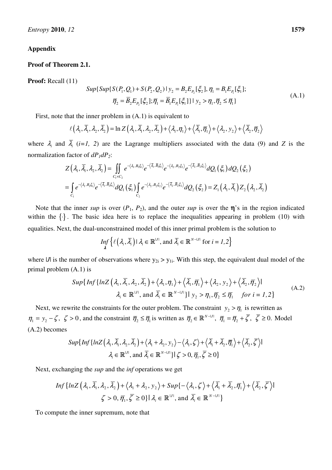## **Appendix**

## **Proof of Theorem 2.1.**

**Proof:** Recall (11)

$$
Sup\{Sup\{S(P_1, Q_1) + S(P_2, Q_2) \mid y_2 = B_2 E_{P_2}[\xi_2], \eta_1 = B_1 E_{P_1}[\xi_1];
$$
\n
$$
\overline{\eta}_2 = \overline{B}_2 E_{P_2}[\xi_2]; \overline{\eta}_1 = \overline{B}_1 E_{P_1}[\xi_1] \} \mid y_2 > \eta_1, \overline{\eta}_2 \le \overline{\eta}_1\}
$$
\n(A.1)

First, note that the inner problem in (A.1) is equivalent to

$$
\ell(\lambda_1, \overline{\lambda}_1, \lambda_2, \overline{\lambda}_2) = \ln Z(\lambda_1, \overline{\lambda}_1, \lambda_2, \overline{\lambda}_2) + \langle \lambda_1, \eta_1 \rangle + \langle \overline{\lambda}_1, \overline{\eta}_1 \rangle + \langle \lambda_2, y_2 \rangle + \langle \overline{\lambda}_2, \overline{\eta}_2 \rangle
$$

where  $\lambda_i$  and  $\lambda_i$  (*i*=1, 2) are the Lagrange multipliers associated with the data (9) and *Z* is the normalization factor of *dP1dP2*:

$$
Z(\lambda_1, \overline{\lambda}_1, \lambda_2, \overline{\lambda}_2) = \iint_{C_1 \times C_2} e^{-\langle \lambda_1, B_1 \xi_1 \rangle} e^{-\langle \overline{\lambda}_1, \overline{B}_1 \xi_1 \rangle} e^{-\langle \lambda_2, B_2 \xi_2 \rangle} e^{-\langle \overline{\lambda}_2, \overline{B}_2 \xi_2 \rangle} dQ_1(\xi_1) dQ_2(\xi_2)
$$
  
= 
$$
\int_{C_1} e^{-\langle \lambda_1, B_1 \xi_1 \rangle} e^{-\langle \overline{\lambda}_1, \overline{B}_1 \xi_1 \rangle} dQ_1(\xi_1) \int_{C_2} e^{-\langle \lambda_2, B_2 \xi_2 \rangle} e^{-\langle \overline{\lambda}_2, \overline{B}_2 \xi_2 \rangle} dQ_2(\xi_2) = Z_1(\lambda_1, \overline{\lambda}_1) Z_2(\lambda_2, \overline{\lambda}_2)
$$

Note that the inner *sup* is over  $(P_1, P_2)$ , and the outer *sup* is over the  $\eta$ 's in the region indicated within the  $\{\cdot\}$ . The basic idea here is to replace the inequalities appearing in problem (10) with equalities. Next, the dual-unconstrained model of this inner primal problem is the solution to

$$
\inf_{\lambda} \left\{ \ell \left( \lambda_i, \overline{\lambda}_i \right) \mid \lambda_i \in \mathbb{R}^{|\mathcal{I}|}, \text{ and } \overline{\lambda}_i \in \mathbb{R}^{N-|\mathcal{I}|} \text{ for } i = 1, 2 \right\}
$$

where  $|J|$  is the number of observations where  $y_{2i} > y_{1i}$ . With this step, the equivalent dual model of the primal problem (A.1) is

$$
Sup\{Inf\{lnZ\left(\lambda_{1}, \overline{\lambda}_{1}, \lambda_{2}, \overline{\lambda}_{2}\right) + \langle \lambda_{1}, \eta_{1} \rangle + \langle \overline{\lambda}_{1}, \overline{\eta}_{1} \rangle + \langle \lambda_{2}, y_{2} \rangle + \langle \overline{\lambda}_{2}, \overline{\eta}_{2} \rangle\}
$$
\n
$$
\lambda_{i} \in \mathbb{R}^{|\mathcal{I}|}, \text{ and } \overline{\lambda}_{i} \in \mathbb{R}^{|\mathcal{N}-|\mathcal{I}|}\} \big| y_{2} > \eta_{1}, \overline{\eta}_{2} \le \overline{\eta}_{1} \quad \text{for } i = 1, 2\}
$$
\n(A.2)

Next, we rewrite the constraints for the outer problem. The constraint  $y_2 > \eta_1$  is rewritten as  $\eta_1 = y_2 - \zeta$ ,  $\zeta > 0$ , and the constraint  $\overline{\eta}_2 \leq \overline{\eta}_1$  is written as  $\overline{\eta}_2 \in \mathbb{R}^{N-|J|}$ ,  $\overline{\eta}_1 = \overline{\eta}_2 + \overline{\zeta}$ ,  $\overline{\zeta} \geq 0$ . Model (A.2) becomes

$$
Sup\{Inf\{lnZ(\lambda_1, \overline{\lambda}_1, \lambda_2, \overline{\lambda}_2) + \langle \lambda_1 + \lambda_2, y_2 \rangle - \langle \lambda_1, \zeta \rangle + \langle \overline{\lambda}_1 + \overline{\lambda}_2, \overline{\eta}_1 \rangle + \langle \overline{\lambda}_2, \overline{\zeta} \rangle \}
$$
  

$$
\lambda_i \in \mathbb{R}^{|J|}, \text{ and } \overline{\lambda}_i \in \mathbb{R}^{N-|J|} \} \{ \zeta > 0, \overline{\eta}_1, \overline{\zeta} \ge 0 \}
$$

Next, exchanging the *sup* and the *inf* operations we get

$$
Inf\{lnZ\left(\lambda_{1}, \overline{\lambda}_{1}, \lambda_{2}, \overline{\lambda}_{2}\right) + \left\langle \lambda_{1} + \lambda_{2}, y_{2} \right\rangle + Sup\{-\left\langle \lambda_{1}, \zeta\right\rangle + \left\langle \overline{\lambda}_{1} + \overline{\lambda}_{2}, \overline{\eta}_{1} \right\rangle + \left\langle \overline{\lambda}_{2}, \overline{\zeta} \right\rangle\}
$$
  

$$
\zeta > 0, \overline{\eta}_{1}, \overline{\zeta} \ge 0\} | \lambda_{i} \in \mathbb{R}^{|J|}, \text{ and } \overline{\lambda}_{i} \in \mathbb{R}^{|N - |J|}\}
$$

To compute the inner supremum, note that